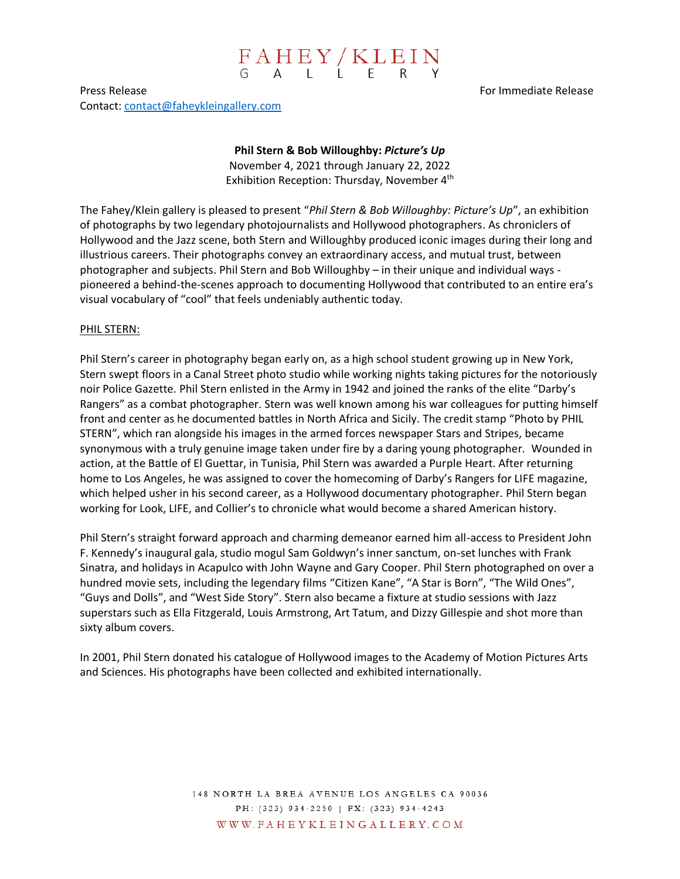# $\begin{array}{cccc}\nF A H E Y / K L E I N \\
G A L L E F R Y\n\end{array}$

Press Release For Immediate Release For Immediate Release Contact: [contact@faheykleingallery.com](mailto:contact@faheykleingallery.com)

#### **Phil Stern & Bob Willoughby:** *Picture's Up*

November 4, 2021 through January 22, 2022 Exhibition Reception: Thursday, November 4<sup>th</sup>

The Fahey/Klein gallery is pleased to present "*Phil Stern & Bob Willoughby: Picture's Up*", an exhibition of photographs by two legendary photojournalists and Hollywood photographers. As chroniclers of Hollywood and the Jazz scene, both Stern and Willoughby produced iconic images during their long and illustrious careers. Their photographs convey an extraordinary access, and mutual trust, between photographer and subjects. Phil Stern and Bob Willoughby – in their unique and individual ways pioneered a behind-the-scenes approach to documenting Hollywood that contributed to an entire era's visual vocabulary of "cool" that feels undeniably authentic today.

### PHIL STERN:

Phil Stern's career in photography began early on, as a high school student growing up in New York, Stern swept floors in a Canal Street photo studio while working nights taking pictures for the notoriously noir Police Gazette. Phil Stern enlisted in the Army in 1942 and joined the ranks of the elite "Darby's Rangers" as a combat photographer. Stern was well known among his war colleagues for putting himself front and center as he documented battles in North Africa and Sicily. The credit stamp "Photo by PHIL STERN", which ran alongside his images in the armed forces newspaper Stars and Stripes, became synonymous with a truly genuine image taken under fire by a daring young photographer. Wounded in action, at the Battle of El Guettar, in Tunisia, Phil Stern was awarded a Purple Heart. After returning home to Los Angeles, he was assigned to cover the homecoming of Darby's Rangers for LIFE magazine, which helped usher in his second career, as a Hollywood documentary photographer. Phil Stern began working for Look, LIFE, and Collier's to chronicle what would become a shared American history.

Phil Stern's straight forward approach and charming demeanor earned him all-access to President John F. Kennedy's inaugural gala, studio mogul Sam Goldwyn's inner sanctum, on-set lunches with Frank Sinatra, and holidays in Acapulco with John Wayne and Gary Cooper. Phil Stern photographed on over a hundred movie sets, including the legendary films "Citizen Kane", "A Star is Born", "The Wild Ones", "Guys and Dolls", and "West Side Story". Stern also became a fixture at studio sessions with Jazz superstars such as Ella Fitzgerald, Louis Armstrong, Art Tatum, and Dizzy Gillespie and shot more than sixty album covers.

In 2001, Phil Stern donated his catalogue of Hollywood images to the Academy of Motion Pictures Arts and Sciences. His photographs have been collected and exhibited internationally.

> 148 NORTH LA BREA AVENUE LOS ANGELES CA 90036 PH: (323) 934-2250 | FX: (323) 934-4243 WWW.FAHEYKLEINGALLERY.COM